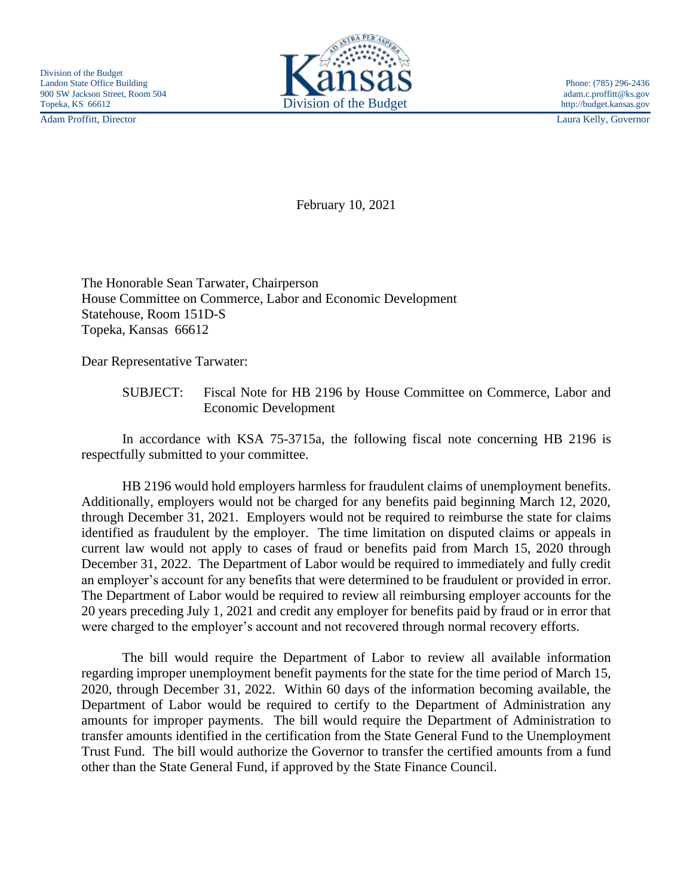Adam Proffitt, Director Laura Kelly, Governor



February 10, 2021

The Honorable Sean Tarwater, Chairperson House Committee on Commerce, Labor and Economic Development Statehouse, Room 151D-S Topeka, Kansas 66612

Dear Representative Tarwater:

SUBJECT: Fiscal Note for HB 2196 by House Committee on Commerce, Labor and Economic Development

In accordance with KSA 75-3715a, the following fiscal note concerning HB 2196 is respectfully submitted to your committee.

HB 2196 would hold employers harmless for fraudulent claims of unemployment benefits. Additionally, employers would not be charged for any benefits paid beginning March 12, 2020, through December 31, 2021. Employers would not be required to reimburse the state for claims identified as fraudulent by the employer. The time limitation on disputed claims or appeals in current law would not apply to cases of fraud or benefits paid from March 15, 2020 through December 31, 2022. The Department of Labor would be required to immediately and fully credit an employer's account for any benefits that were determined to be fraudulent or provided in error. The Department of Labor would be required to review all reimbursing employer accounts for the 20 years preceding July 1, 2021 and credit any employer for benefits paid by fraud or in error that were charged to the employer's account and not recovered through normal recovery efforts.

The bill would require the Department of Labor to review all available information regarding improper unemployment benefit payments for the state for the time period of March 15, 2020, through December 31, 2022. Within 60 days of the information becoming available, the Department of Labor would be required to certify to the Department of Administration any amounts for improper payments. The bill would require the Department of Administration to transfer amounts identified in the certification from the State General Fund to the Unemployment Trust Fund. The bill would authorize the Governor to transfer the certified amounts from a fund other than the State General Fund, if approved by the State Finance Council.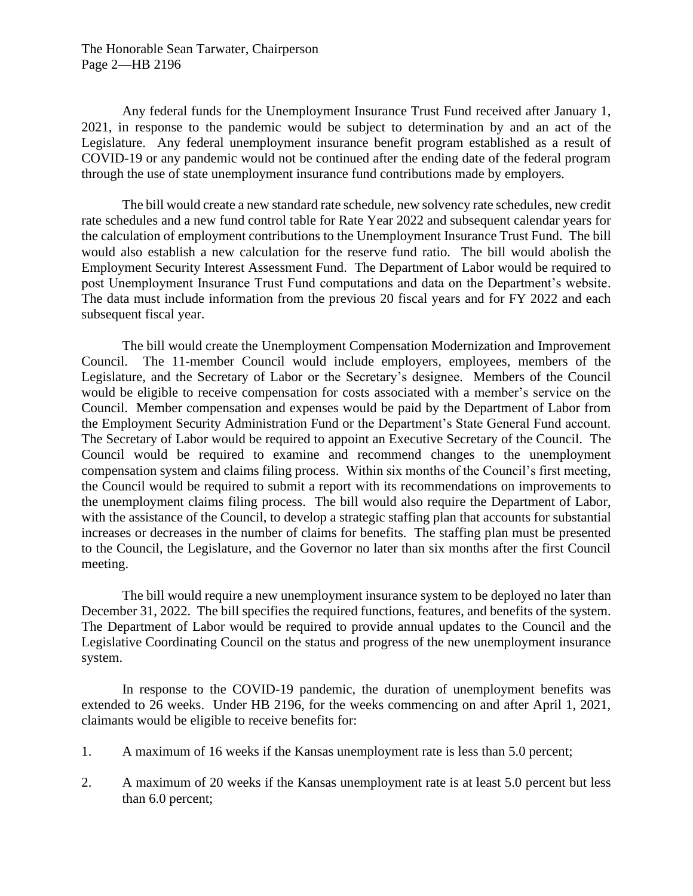The Honorable Sean Tarwater, Chairperson Page 2—HB 2196

Any federal funds for the Unemployment Insurance Trust Fund received after January 1, 2021, in response to the pandemic would be subject to determination by and an act of the Legislature. Any federal unemployment insurance benefit program established as a result of COVID-19 or any pandemic would not be continued after the ending date of the federal program through the use of state unemployment insurance fund contributions made by employers.

The bill would create a new standard rate schedule, new solvency rate schedules, new credit rate schedules and a new fund control table for Rate Year 2022 and subsequent calendar years for the calculation of employment contributions to the Unemployment Insurance Trust Fund. The bill would also establish a new calculation for the reserve fund ratio. The bill would abolish the Employment Security Interest Assessment Fund. The Department of Labor would be required to post Unemployment Insurance Trust Fund computations and data on the Department's website. The data must include information from the previous 20 fiscal years and for FY 2022 and each subsequent fiscal year.

The bill would create the Unemployment Compensation Modernization and Improvement Council. The 11-member Council would include employers, employees, members of the Legislature, and the Secretary of Labor or the Secretary's designee. Members of the Council would be eligible to receive compensation for costs associated with a member's service on the Council. Member compensation and expenses would be paid by the Department of Labor from the Employment Security Administration Fund or the Department's State General Fund account. The Secretary of Labor would be required to appoint an Executive Secretary of the Council. The Council would be required to examine and recommend changes to the unemployment compensation system and claims filing process. Within six months of the Council's first meeting, the Council would be required to submit a report with its recommendations on improvements to the unemployment claims filing process. The bill would also require the Department of Labor, with the assistance of the Council, to develop a strategic staffing plan that accounts for substantial increases or decreases in the number of claims for benefits. The staffing plan must be presented to the Council, the Legislature, and the Governor no later than six months after the first Council meeting.

The bill would require a new unemployment insurance system to be deployed no later than December 31, 2022. The bill specifies the required functions, features, and benefits of the system. The Department of Labor would be required to provide annual updates to the Council and the Legislative Coordinating Council on the status and progress of the new unemployment insurance system.

In response to the COVID-19 pandemic, the duration of unemployment benefits was extended to 26 weeks. Under HB 2196, for the weeks commencing on and after April 1, 2021, claimants would be eligible to receive benefits for:

- 1. A maximum of 16 weeks if the Kansas unemployment rate is less than 5.0 percent;
- 2. A maximum of 20 weeks if the Kansas unemployment rate is at least 5.0 percent but less than 6.0 percent;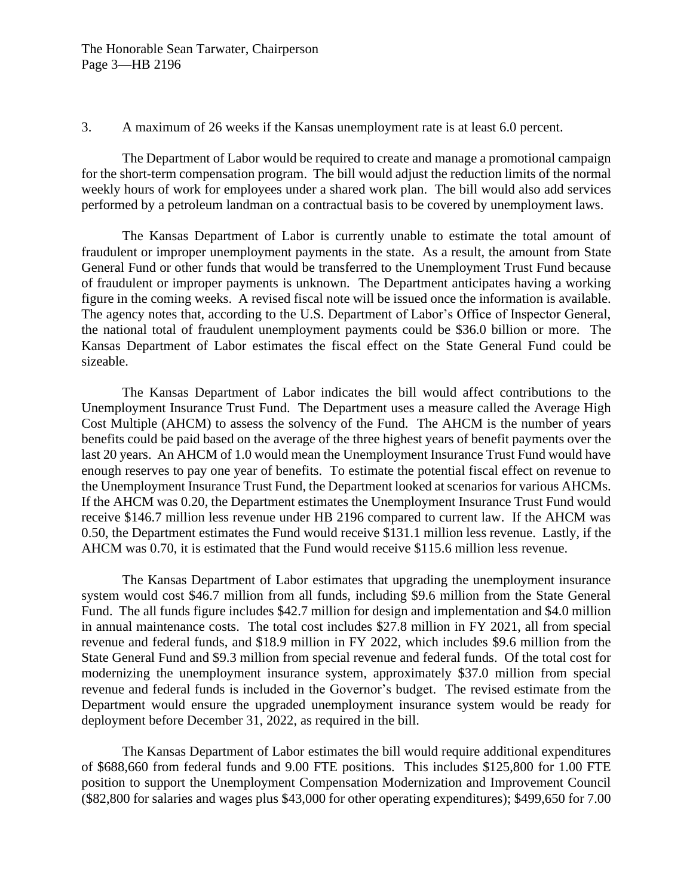## 3. A maximum of 26 weeks if the Kansas unemployment rate is at least 6.0 percent.

The Department of Labor would be required to create and manage a promotional campaign for the short-term compensation program. The bill would adjust the reduction limits of the normal weekly hours of work for employees under a shared work plan. The bill would also add services performed by a petroleum landman on a contractual basis to be covered by unemployment laws.

The Kansas Department of Labor is currently unable to estimate the total amount of fraudulent or improper unemployment payments in the state. As a result, the amount from State General Fund or other funds that would be transferred to the Unemployment Trust Fund because of fraudulent or improper payments is unknown. The Department anticipates having a working figure in the coming weeks. A revised fiscal note will be issued once the information is available. The agency notes that, according to the U.S. Department of Labor's Office of Inspector General, the national total of fraudulent unemployment payments could be \$36.0 billion or more. The Kansas Department of Labor estimates the fiscal effect on the State General Fund could be sizeable.

The Kansas Department of Labor indicates the bill would affect contributions to the Unemployment Insurance Trust Fund. The Department uses a measure called the Average High Cost Multiple (AHCM) to assess the solvency of the Fund. The AHCM is the number of years benefits could be paid based on the average of the three highest years of benefit payments over the last 20 years. An AHCM of 1.0 would mean the Unemployment Insurance Trust Fund would have enough reserves to pay one year of benefits. To estimate the potential fiscal effect on revenue to the Unemployment Insurance Trust Fund, the Department looked at scenarios for various AHCMs. If the AHCM was 0.20, the Department estimates the Unemployment Insurance Trust Fund would receive \$146.7 million less revenue under HB 2196 compared to current law. If the AHCM was 0.50, the Department estimates the Fund would receive \$131.1 million less revenue. Lastly, if the AHCM was 0.70, it is estimated that the Fund would receive \$115.6 million less revenue.

The Kansas Department of Labor estimates that upgrading the unemployment insurance system would cost \$46.7 million from all funds, including \$9.6 million from the State General Fund. The all funds figure includes \$42.7 million for design and implementation and \$4.0 million in annual maintenance costs. The total cost includes \$27.8 million in FY 2021, all from special revenue and federal funds, and \$18.9 million in FY 2022, which includes \$9.6 million from the State General Fund and \$9.3 million from special revenue and federal funds. Of the total cost for modernizing the unemployment insurance system, approximately \$37.0 million from special revenue and federal funds is included in the Governor's budget. The revised estimate from the Department would ensure the upgraded unemployment insurance system would be ready for deployment before December 31, 2022, as required in the bill.

The Kansas Department of Labor estimates the bill would require additional expenditures of \$688,660 from federal funds and 9.00 FTE positions. This includes \$125,800 for 1.00 FTE position to support the Unemployment Compensation Modernization and Improvement Council (\$82,800 for salaries and wages plus \$43,000 for other operating expenditures); \$499,650 for 7.00